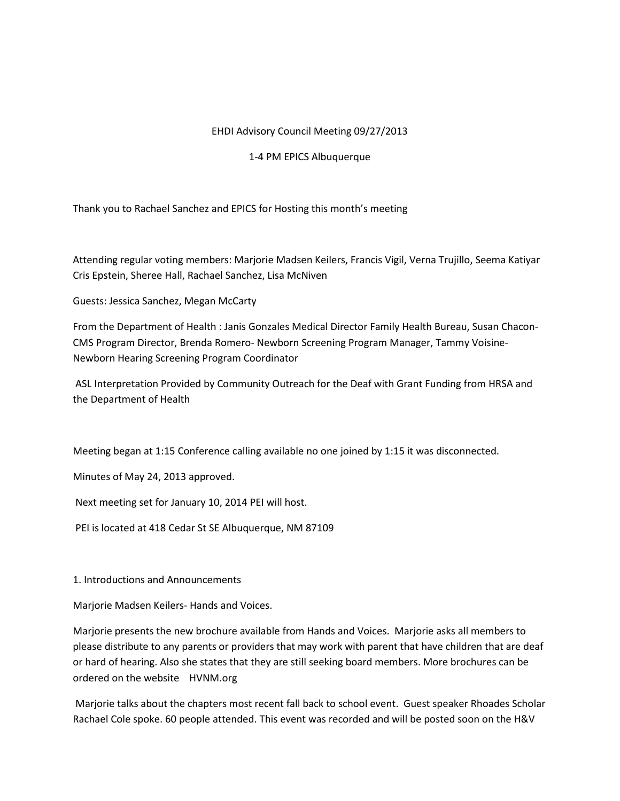## EHDI Advisory Council Meeting 09/27/2013

## 1-4 PM EPICS Albuquerque

Thank you to Rachael Sanchez and EPICS for Hosting this month's meeting

Attending regular voting members: Marjorie Madsen Keilers, Francis Vigil, Verna Trujillo, Seema Katiyar Cris Epstein, Sheree Hall, Rachael Sanchez, Lisa McNiven

Guests: Jessica Sanchez, Megan McCarty

From the Department of Health : Janis Gonzales Medical Director Family Health Bureau, Susan Chacon-CMS Program Director, Brenda Romero- Newborn Screening Program Manager, Tammy Voisine-Newborn Hearing Screening Program Coordinator

ASL Interpretation Provided by Community Outreach for the Deaf with Grant Funding from HRSA and the Department of Health

Meeting began at 1:15 Conference calling available no one joined by 1:15 it was disconnected.

Minutes of May 24, 2013 approved.

Next meeting set for January 10, 2014 PEI will host.

PEI is located at 418 Cedar St SE Albuquerque, NM 87109

1. Introductions and Announcements

Marjorie Madsen Keilers- Hands and Voices.

Marjorie presents the new brochure available from Hands and Voices. Marjorie asks all members to please distribute to any parents or providers that may work with parent that have children that are deaf or hard of hearing. Also she states that they are still seeking board members. More brochures can be ordered on the website HVNM.org

Marjorie talks about the chapters most recent fall back to school event. Guest speaker Rhoades Scholar Rachael Cole spoke. 60 people attended. This event was recorded and will be posted soon on the H&V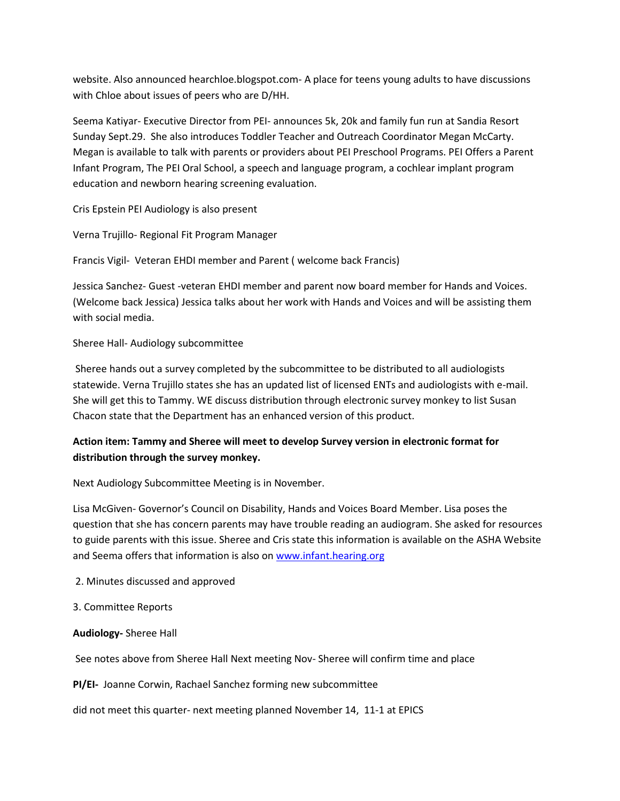website. Also announced hearchloe.blogspot.com- A place for teens young adults to have discussions with Chloe about issues of peers who are D/HH.

Seema Katiyar- Executive Director from PEI- announces 5k, 20k and family fun run at Sandia Resort Sunday Sept.29. She also introduces Toddler Teacher and Outreach Coordinator Megan McCarty. Megan is available to talk with parents or providers about PEI Preschool Programs. PEI Offers a Parent Infant Program, The PEI Oral School, a speech and language program, a cochlear implant program education and newborn hearing screening evaluation.

Cris Epstein PEI Audiology is also present

Verna Trujillo- Regional Fit Program Manager

Francis Vigil- Veteran EHDI member and Parent ( welcome back Francis)

Jessica Sanchez- Guest -veteran EHDI member and parent now board member for Hands and Voices. (Welcome back Jessica) Jessica talks about her work with Hands and Voices and will be assisting them with social media.

## Sheree Hall- Audiology subcommittee

Sheree hands out a survey completed by the subcommittee to be distributed to all audiologists statewide. Verna Trujillo states she has an updated list of licensed ENTs and audiologists with e-mail. She will get this to Tammy. WE discuss distribution through electronic survey monkey to list Susan Chacon state that the Department has an enhanced version of this product.

## **Action item: Tammy and Sheree will meet to develop Survey version in electronic format for distribution through the survey monkey.**

Next Audiology Subcommittee Meeting is in November.

Lisa McGiven- Governor's Council on Disability, Hands and Voices Board Member. Lisa poses the question that she has concern parents may have trouble reading an audiogram. She asked for resources to guide parents with this issue. Sheree and Cris state this information is available on the ASHA Website and Seema offers that information is also on [www.infant.hearing.org](http://www.infant.hearing.org/)

- 2. Minutes discussed and approved
- 3. Committee Reports
- **Audiology-** Sheree Hall

See notes above from Sheree Hall Next meeting Nov- Sheree will confirm time and place

**PI/EI-** Joanne Corwin, Rachael Sanchez forming new subcommittee

did not meet this quarter- next meeting planned November 14, 11-1 at EPICS